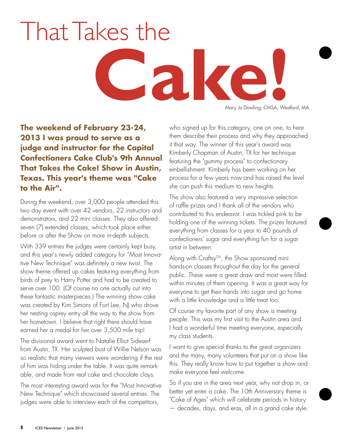## Mary Jo Dowling, CMSA, Wes That Takes the

Mary Jo Dowling, CMSA, Westford, MA

**The weekend of February 23-24, 2013 I was proud to serve as a judge and instructor for the Capital Confectioners Cake Club's 9th Annual That Takes the Cake! Show in Austin, Texas. This year's theme was "Cake to the Air".** 

During the weekend, over 3,000 people attended this two day event with over 42 vendors, 22 instructors and demonstrators, and 22 mini classes. They also offered seven (7) extended classes, which took place either before or after the Show on more in-depth subjects.

With 339 entries the judges were certainly kept busy, and this year's newly added category for "Most Innovative New Technique" was definitely a new twist. The show theme offered up cakes featuring everything from birds of prey to Harry Potter and had to be created to serve over 100. (Of course no one actually cut into these fantastic masterpieces.) The winning show cake was created by Kim Simons of Fort Lee, NJ who drove her nesting osprey entry all the way to the show from her hometown. I believe that right there should have earned her a medal for her over 3,500 mile trip!

The divisional award went to Natalie Elliot Sideserf from Austin, TX. Her sculpted bust of Willie Nelson was so realistic that many viewers were wondering if the rest of him was hiding under the table. It was quite remarkable, and made from real cake and chocolate clays.

The most interesting award was for the "Most Innovative New Technique" which showcased several entries. The judges were able to interview each of the competitors,

who signed up for this category, one on one, to hear them describe their process and why they approached it that way. The winner of this year's award was Kimberly Chapman of Austin, TX for her technique featuring the "gummy process" to confectionary embellishment. Kimberly has been working on her process for a few years now and has raised the level she can push this medium to new heights.

The show also featured a very impressive selection of raffle prizes and I thank all of the vendors who contributed to this endeavor. I was tickled pink to be holding one of the winning tickets. The prizes featured everything from classes for a year to 40 pounds of confectioners' sugar and everything fun for a sugar artist in between.

Along with Craftsy™, the Show sponsored mini hands-on classes throughout the day for the general public. These were a great draw and most were filled within minutes of them opening. It was a great way for everyone to get their hands into sugar and go home with a little knowledge and a little treat too.

Of course my favorite part of any show is meeting people. This was my first visit to the Austin area and I had a wonderful time meeting everyone, especially my class students.

I want to give special thanks to the great organizers and the many, many volunteers that put on a show like this. They really know how to put together a show and make everyone feel welcome.

So if you are in the area next year, why not drop in, or better yet enter a cake. The 10th Anniversary theme is "Cake of Ages" which will celebrate periods in history — decades, days, and eras, all in a grand cake style.